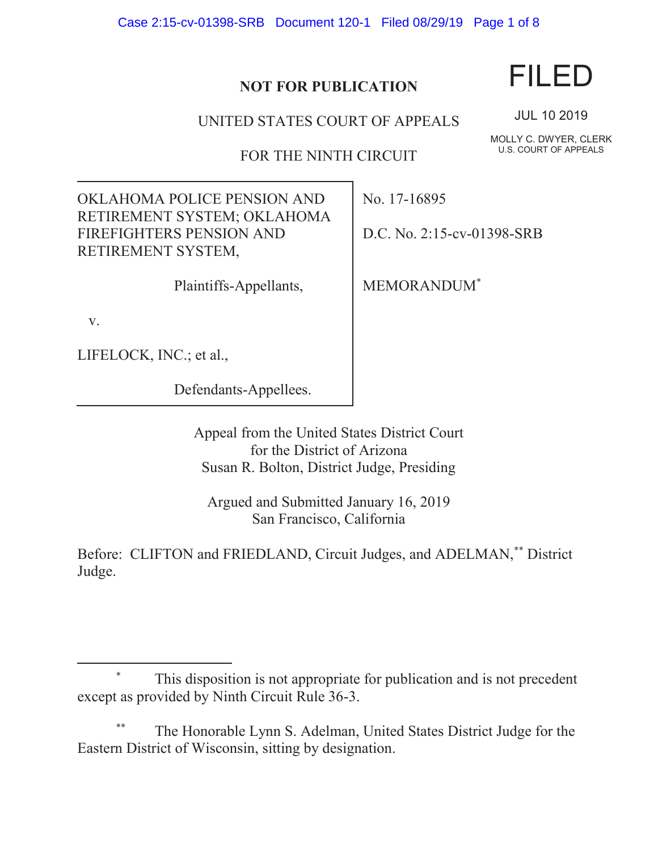Case 2:15-cv-01398-SRB Document 120-1 Filed 08/29/19 Page 1 of 8

## **NOT FOR PUBLICATION**

UNITED STATES COURT OF APPEALS

FOR THE NINTH CIRCUIT

OKLAHOMA POLICE PENSION AND RETIREMENT SYSTEM; OKLAHOMA FIREFIGHTERS PENSION AND RETIREMENT SYSTEM,

Plaintiffs-Appellants,

v.

 $\overline{a}$ 

LIFELOCK, INC.; et al.,

Defendants-Appellees.

Appeal from the United States District Court for the District of Arizona Susan R. Bolton, District Judge, Presiding

Argued and Submitted January 16, 2019 San Francisco, California

Before: CLIFTON and FRIEDLAND, Circuit Judges, and ADELMAN,\*\* District Judge.

The Honorable Lynn S. Adelman, United States District Judge for the Eastern District of Wisconsin, sitting by designation.

FILED

JUL 10 2019

MOLLY C. DWYER, CLERK U.S. COURT OF APPEALS

No. 17-16895

D.C. No. 2:15-cv-01398-SRB

MEMORANDUM\*



 <sup>\*</sup> This disposition is not appropriate for publication and is not precedent except as provided by Ninth Circuit Rule 36-3.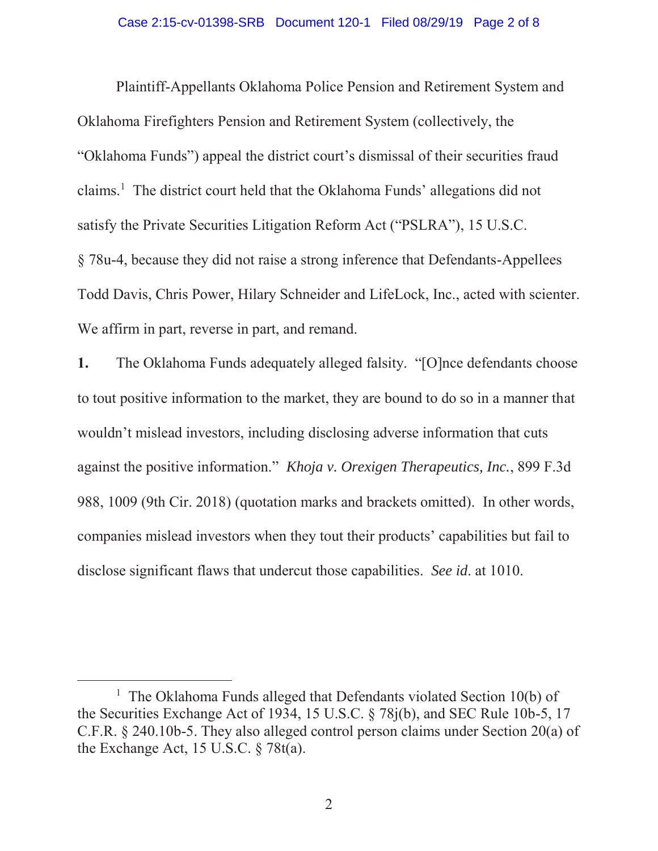Plaintiff-Appellants Oklahoma Police Pension and Retirement System and Oklahoma Firefighters Pension and Retirement System (collectively, the "Oklahoma Funds") appeal the district court's dismissal of their securities fraud claims.<sup>1</sup> The district court held that the Oklahoma Funds' allegations did not satisfy the Private Securities Litigation Reform Act ("PSLRA"), 15 U.S.C. § 78u-4, because they did not raise a strong inference that Defendants-Appellees Todd Davis, Chris Power, Hilary Schneider and LifeLock, Inc., acted with scienter. We affirm in part, reverse in part, and remand.

**1.** The Oklahoma Funds adequately alleged falsity. "[O]nce defendants choose to tout positive information to the market, they are bound to do so in a manner that wouldn't mislead investors, including disclosing adverse information that cuts against the positive information." *Khoja v. Orexigen Therapeutics, Inc.*, 899 F.3d 988, 1009 (9th Cir. 2018) (quotation marks and brackets omitted). In other words, companies mislead investors when they tout their products' capabilities but fail to disclose significant flaws that undercut those capabilities. *See id*. at 1010.

<sup>&</sup>lt;u>1</u> <sup>1</sup> The Oklahoma Funds alleged that Defendants violated Section  $10(b)$  of the Securities Exchange Act of 1934, 15 U.S.C. § 78j(b), and SEC Rule 10b-5, 17 C.F.R. § 240.10b-5. They also alleged control person claims under Section 20(a) of the Exchange Act, 15 U.S.C. § 78t(a).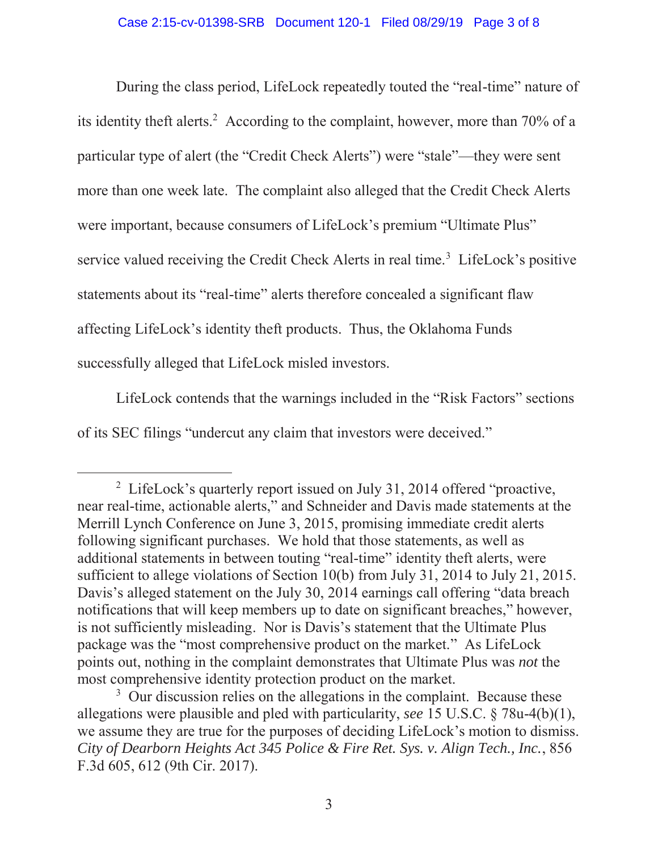During the class period, LifeLock repeatedly touted the "real-time" nature of its identity theft alerts.<sup>2</sup> According to the complaint, however, more than 70% of a particular type of alert (the "Credit Check Alerts") were "stale"—they were sent more than one week late. The complaint also alleged that the Credit Check Alerts were important, because consumers of LifeLock's premium "Ultimate Plus" service valued receiving the Credit Check Alerts in real time.<sup>3</sup> LifeLock's positive statements about its "real-time" alerts therefore concealed a significant flaw affecting LifeLock's identity theft products. Thus, the Oklahoma Funds successfully alleged that LifeLock misled investors.

 LifeLock contends that the warnings included in the "Risk Factors" sections of its SEC filings "undercut any claim that investors were deceived."

 $\frac{1}{2}$ <sup>2</sup> LifeLock's quarterly report issued on July 31, 2014 offered "proactive, near real-time, actionable alerts," and Schneider and Davis made statements at the Merrill Lynch Conference on June 3, 2015, promising immediate credit alerts following significant purchases.We hold that those statements, as well as additional statements in between touting "real-time" identity theft alerts, were sufficient to allege violations of Section 10(b) from July 31, 2014 to July 21, 2015. Davis's alleged statement on the July 30, 2014 earnings call offering "data breach notifications that will keep members up to date on significant breaches," however, is not sufficiently misleading. Nor is Davis's statement that the Ultimate Plus package was the "most comprehensive product on the market." As LifeLock points out, nothing in the complaint demonstrates that Ultimate Plus was *not* the most comprehensive identity protection product on the market.

<sup>&</sup>lt;sup>3</sup> Our discussion relies on the allegations in the complaint. Because these allegations were plausible and pled with particularity, *see* 15 U.S.C. § 78u-4(b)(1), we assume they are true for the purposes of deciding LifeLock's motion to dismiss. *City of Dearborn Heights Act 345 Police & Fire Ret. Sys. v. Align Tech., Inc.*, 856 F.3d 605, 612 (9th Cir. 2017).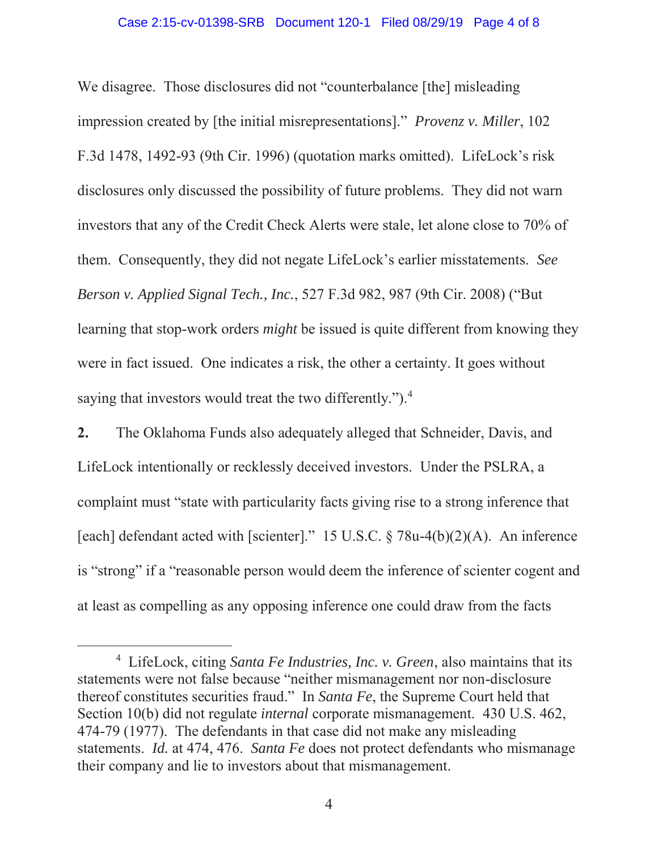## Case 2:15-cv-01398-SRB Document 120-1 Filed 08/29/19 Page 4 of 8

We disagree. Those disclosures did not "counterbalance [the] misleading impression created by [the initial misrepresentations]." *Provenz v. Miller*, 102 F.3d 1478, 1492-93 (9th Cir. 1996) (quotation marks omitted). LifeLock's risk disclosures only discussed the possibility of future problems. They did not warn investors that any of the Credit Check Alerts were stale, let alone close to 70% of them. Consequently, they did not negate LifeLock's earlier misstatements. *See Berson v. Applied Signal Tech., Inc.*, 527 F.3d 982, 987 (9th Cir. 2008) ("But learning that stop-work orders *might* be issued is quite different from knowing they were in fact issued. One indicates a risk, the other a certainty. It goes without saying that investors would treat the two differently.").<sup>4</sup>

**2.** The Oklahoma Funds also adequately alleged that Schneider, Davis, and LifeLock intentionally or recklessly deceived investors. Under the PSLRA, a complaint must "state with particularity facts giving rise to a strong inference that [each] defendant acted with [scienter]." 15 U.S.C.  $\S$  78u-4(b)(2)(A). An inference is "strong" if a "reasonable person would deem the inference of scienter cogent and at least as compelling as any opposing inference one could draw from the facts

 $\overline{4}$  LifeLock, citing *Santa Fe Industries, Inc. v. Green*, also maintains that its statements were not false because "neither mismanagement nor non-disclosure thereof constitutes securities fraud." In *Santa Fe*, the Supreme Court held that Section 10(b) did not regulate *internal* corporate mismanagement. 430 U.S. 462, 474-79 (1977). The defendants in that case did not make any misleading statements. *Id.* at 474, 476. *Santa Fe* does not protect defendants who mismanage their company and lie to investors about that mismanagement.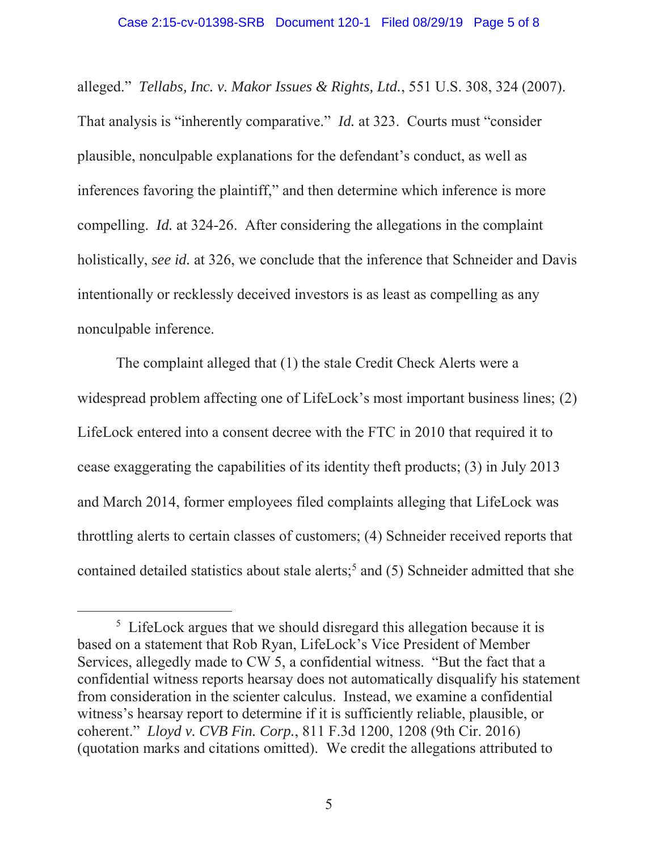alleged." *Tellabs, Inc. v. Makor Issues & Rights, Ltd.*, 551 U.S. 308, 324 (2007). That analysis is "inherently comparative." *Id.* at 323. Courts must "consider plausible, nonculpable explanations for the defendant's conduct, as well as inferences favoring the plaintiff," and then determine which inference is more compelling. *Id.* at 324-26. After considering the allegations in the complaint holistically, *see id.* at 326, we conclude that the inference that Schneider and Davis intentionally or recklessly deceived investors is as least as compelling as any nonculpable inference.

 The complaint alleged that (1) the stale Credit Check Alerts were a widespread problem affecting one of LifeLock's most important business lines; (2) LifeLock entered into a consent decree with the FTC in 2010 that required it to cease exaggerating the capabilities of its identity theft products; (3) in July 2013 and March 2014, former employees filed complaints alleging that LifeLock was throttling alerts to certain classes of customers; (4) Schneider received reports that contained detailed statistics about stale alerts;<sup>5</sup> and (5) Schneider admitted that she

 $rac{1}{5}$ <sup>5</sup> LifeLock argues that we should disregard this allegation because it is based on a statement that Rob Ryan, LifeLock's Vice President of Member Services, allegedly made to CW 5, a confidential witness. "But the fact that a confidential witness reports hearsay does not automatically disqualify his statement from consideration in the scienter calculus. Instead, we examine a confidential witness's hearsay report to determine if it is sufficiently reliable, plausible, or coherent." *Lloyd v. CVB Fin. Corp.*, 811 F.3d 1200, 1208 (9th Cir. 2016) (quotation marks and citations omitted). We credit the allegations attributed to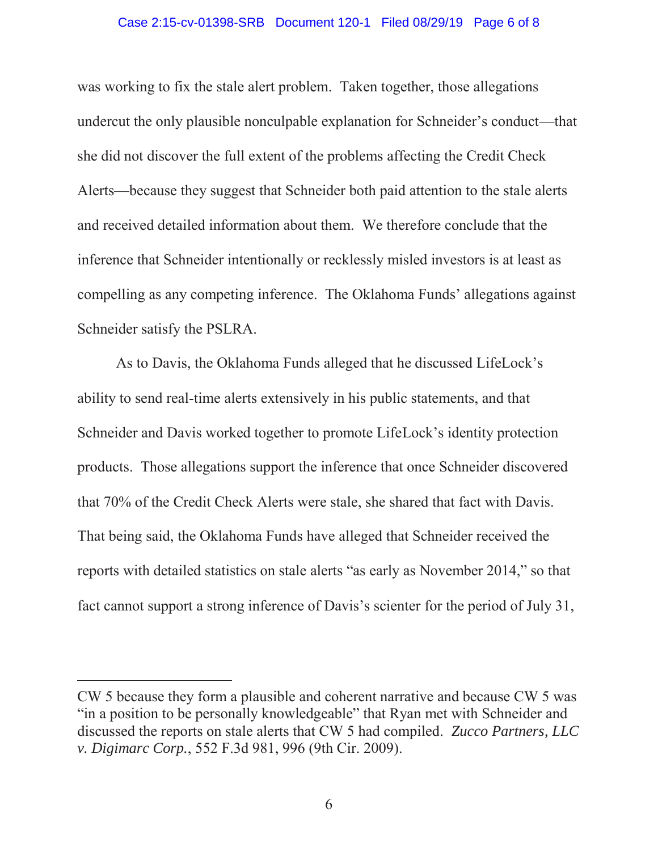## Case 2:15-cv-01398-SRB Document 120-1 Filed 08/29/19 Page 6 of 8

was working to fix the stale alert problem. Taken together, those allegations undercut the only plausible nonculpable explanation for Schneider's conduct—that she did not discover the full extent of the problems affecting the Credit Check Alerts—because they suggest that Schneider both paid attention to the stale alerts and received detailed information about them. We therefore conclude that the inference that Schneider intentionally or recklessly misled investors is at least as compelling as any competing inference. The Oklahoma Funds' allegations against Schneider satisfy the PSLRA.

 As to Davis, the Oklahoma Funds alleged that he discussed LifeLock's ability to send real-time alerts extensively in his public statements, and that Schneider and Davis worked together to promote LifeLock's identity protection products. Those allegations support the inference that once Schneider discovered that 70% of the Credit Check Alerts were stale, she shared that fact with Davis. That being said, the Oklahoma Funds have alleged that Schneider received the reports with detailed statistics on stale alerts "as early as November 2014," so that fact cannot support a strong inference of Davis's scienter for the period of July 31,

 $\overline{a}$ 

CW 5 because they form a plausible and coherent narrative and because CW 5 was "in a position to be personally knowledgeable" that Ryan met with Schneider and discussed the reports on stale alerts that CW 5 had compiled. *Zucco Partners, LLC v. Digimarc Corp.*, 552 F.3d 981, 996 (9th Cir. 2009).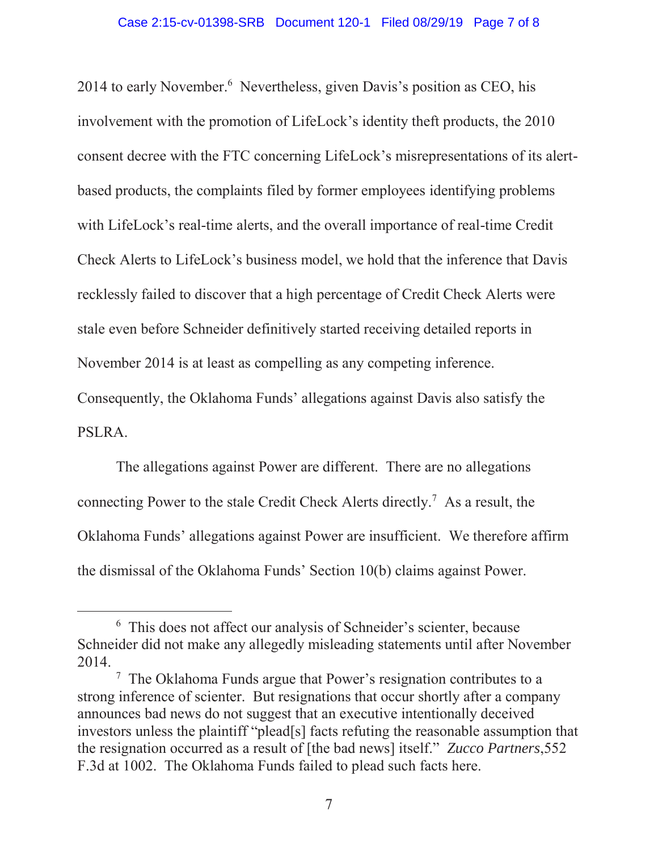2014 to early November.<sup>6</sup> Nevertheless, given Davis's position as CEO, his involvement with the promotion of LifeLock's identity theft products, the 2010 consent decree with the FTC concerning LifeLock's misrepresentations of its alertbased products, the complaints filed by former employees identifying problems with LifeLock's real-time alerts, and the overall importance of real-time Credit Check Alerts to LifeLock's business model, we hold that the inference that Davis recklessly failed to discover that a high percentage of Credit Check Alerts were stale even before Schneider definitively started receiving detailed reports in November 2014 is at least as compelling as any competing inference.

Consequently, the Oklahoma Funds' allegations against Davis also satisfy the PSLRA.

 The allegations against Power are different. There are no allegations connecting Power to the stale Credit Check Alerts directly.7 As a result, the Oklahoma Funds' allegations against Power are insufficient. We therefore affirm the dismissal of the Oklahoma Funds' Section 10(b) claims against Power.

 <sup>6</sup> <sup>6</sup> This does not affect our analysis of Schneider's scienter, because Schneider did not make any allegedly misleading statements until after November 2014.

<sup>&</sup>lt;sup>7</sup> The Oklahoma Funds argue that Power's resignation contributes to a strong inference of scienter. But resignations that occur shortly after a company announces bad news do not suggest that an executive intentionally deceived investors unless the plaintiff "plead[s] facts refuting the reasonable assumption that the resignation occurred as a result of [the bad news] itself." *Zucco Partners*,552 F.3d at 1002. The Oklahoma Funds failed to plead such facts here.